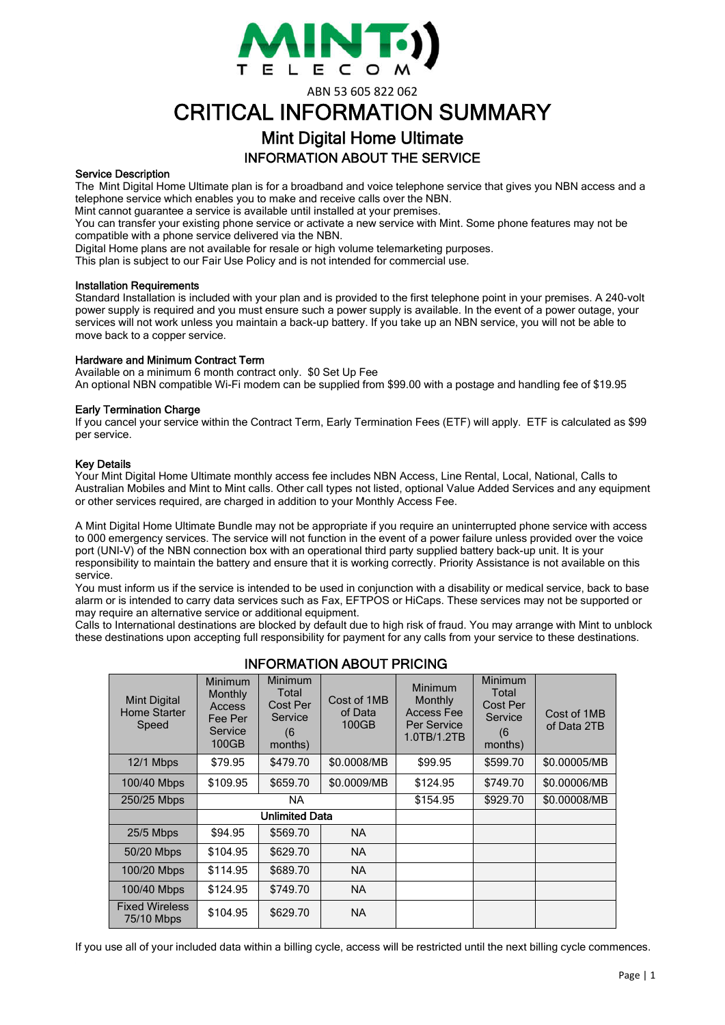

ABN 53 605 822 062

# CRITICAL INFORMATION SUMMARY

# Mint Digital Home Ultimate INFORMATION ABOUT THE SERVICE

### Service Description

The Mint Digital Home Ultimate plan is for a broadband and voice telephone service that gives you NBN access and a telephone service which enables you to make and receive calls over the NBN.

Mint cannot guarantee a service is available until installed at your premises.

You can transfer your existing phone service or activate a new service with Mint. Some phone features may not be compatible with a phone service delivered via the NBN.

Digital Home plans are not available for resale or high volume telemarketing purposes.

This plan is subject to our Fair Use Policy and is not intended for commercial use.

#### Installation Requirements

Standard Installation is included with your plan and is provided to the first telephone point in your premises. A 240-volt power supply is required and you must ensure such a power supply is available. In the event of a power outage, your services will not work unless you maintain a back-up battery. If you take up an NBN service, you will not be able to move back to a copper service.

#### Hardware and Minimum Contract Term

Available on a minimum 6 month contract only. \$0 Set Up Fee An optional NBN compatible Wi-Fi modem can be supplied from \$99.00 with a postage and handling fee of \$19.95

#### Early Termination Charge

If you cancel your service within the Contract Term, Early Termination Fees (ETF) will apply. ETF is calculated as \$99 per service.

#### Key Details

Your Mint Digital Home Ultimate monthly access fee includes NBN Access, Line Rental, Local, National, Calls to Australian Mobiles and Mint to Mint calls. Other call types not listed, optional Value Added Services and any equipment or other services required, are charged in addition to your Monthly Access Fee.

A Mint Digital Home Ultimate Bundle may not be appropriate if you require an uninterrupted phone service with access to 000 emergency services. The service will not function in the event of a power failure unless provided over the voice port (UNI-V) of the NBN connection box with an operational third party supplied battery back-up unit. It is your responsibility to maintain the battery and ensure that it is working correctly. Priority Assistance is not available on this service.

You must inform us if the service is intended to be used in conjunction with a disability or medical service, back to base alarm or is intended to carry data services such as Fax, EFTPOS or HiCaps. These services may not be supported or may require an alternative service or additional equipment.

Calls to International destinations are blocked by default due to high risk of fraud. You may arrange with Mint to unblock these destinations upon accepting full responsibility for payment for any calls from your service to these destinations.

| INFURMATIUN ABUUT PRIUING                    |                                                                    |                                                                  |                                 |                                                                       |                                                           |                            |  |
|----------------------------------------------|--------------------------------------------------------------------|------------------------------------------------------------------|---------------------------------|-----------------------------------------------------------------------|-----------------------------------------------------------|----------------------------|--|
| Mint Digital<br><b>Home Starter</b><br>Speed | Minimum<br>Monthly<br><b>Access</b><br>Fee Per<br>Service<br>100GB | <b>Minimum</b><br>Total<br>Cost Per<br>Service<br>(6)<br>months) | Cost of 1MB<br>of Data<br>100GB | <b>Minimum</b><br>Monthly<br>Access Fee<br>Per Service<br>1.0TB/1.2TB | Minimum<br>Total<br>Cost Per<br>Service<br>(6)<br>months) | Cost of 1MB<br>of Data 2TB |  |
| 12/1 Mbps                                    | \$79.95                                                            | \$479.70                                                         | \$0.0008/MB                     | \$99.95                                                               | \$599.70                                                  | \$0.00005/MB               |  |
| 100/40 Mbps                                  | \$109.95                                                           | \$659.70                                                         | \$0.0009/MB                     | \$124.95                                                              | \$749.70                                                  | \$0.00006/MB               |  |
| 250/25 Mbps                                  | NA.                                                                |                                                                  |                                 | \$154.95                                                              | \$929.70                                                  | \$0.00008/MB               |  |
|                                              | <b>Unlimited Data</b>                                              |                                                                  |                                 |                                                                       |                                                           |                            |  |
| 25/5 Mbps                                    | \$94.95                                                            | \$569.70                                                         | NA.                             |                                                                       |                                                           |                            |  |
| 50/20 Mbps                                   | \$104.95                                                           | \$629.70                                                         | NA.                             |                                                                       |                                                           |                            |  |
| 100/20 Mbps                                  | \$114.95                                                           | \$689.70                                                         | NA.                             |                                                                       |                                                           |                            |  |
| 100/40 Mbps                                  | \$124.95                                                           | \$749.70                                                         | <b>NA</b>                       |                                                                       |                                                           |                            |  |
| <b>Fixed Wireless</b><br>75/10 Mbps          | \$104.95                                                           | \$629.70                                                         | NA.                             |                                                                       |                                                           |                            |  |

# INFORMATION ABOUT PRICING

If you use all of your included data within a billing cycle, access will be restricted until the next billing cycle commences.